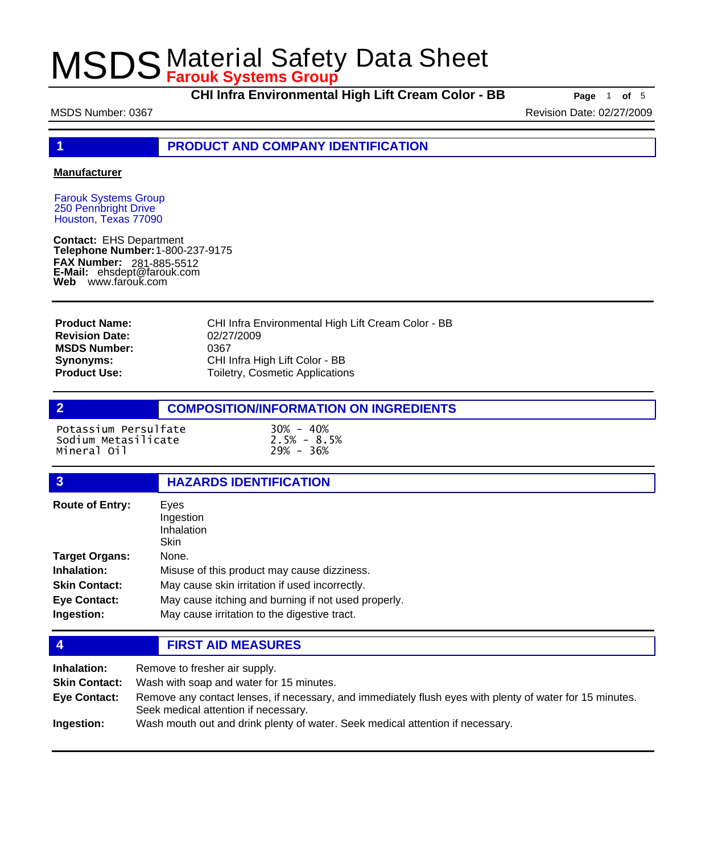**CHI Infra Environmental High Lift Cream Color - BB Page** <sup>1</sup> **of** <sup>5</sup>

MSDS Number: 0367 Revision Date: 02/27/2009

**1 PRODUCT AND COMPANY IDENTIFICATION**

### **Manufacturer**

Farouk Systems Group 250 Pennbright Drive Houston, Texas 77090

**Contact:** EHS Department **Telephone Number:** 1-800-237-9175 **FAX Number: FAX Number:** 281-885-5512<br>**E-Mail:** ehsdept@farouk.com **Web** www.farouk.com

CHI Infra Environmental High Lift Cream Color - BB 02/27/2009 0367 CHI Infra High Lift Color - BB Toiletry, Cosmetic Applications **Product Name: Revision Date: MSDS Number: Synonyms: Product Use:**

## **2 COMPOSITION/INFORMATION ON INGREDIENTS**

Potassium Persulfate 30% - 40% Sodium Metasilicate 2.5% - 8.5% Mineral 0il

## **3 HAZARDS IDENTIFICATION**

| <b>Route of Entry:</b> | Eyes<br>Ingestion<br>Inhalation<br>Skin             |
|------------------------|-----------------------------------------------------|
| <b>Target Organs:</b>  | None.                                               |
| Inhalation:            | Misuse of this product may cause dizziness.         |
| <b>Skin Contact:</b>   | May cause skin irritation if used incorrectly.      |
| <b>Eye Contact:</b>    | May cause itching and burning if not used properly. |
| Ingestion:             | May cause irritation to the digestive tract.        |

### **4 FIRST AID MEASURES**

| Inhalation:          | Remove to fresher air supply.                                                                                                                    |
|----------------------|--------------------------------------------------------------------------------------------------------------------------------------------------|
| <b>Skin Contact:</b> | Wash with soap and water for 15 minutes.                                                                                                         |
| <b>Eve Contact:</b>  | Remove any contact lenses, if necessary, and immediately flush eyes with plenty of water for 15 minutes.<br>Seek medical attention if necessary. |
| Ingestion:           | Wash mouth out and drink plenty of water. Seek medical attention if necessary.                                                                   |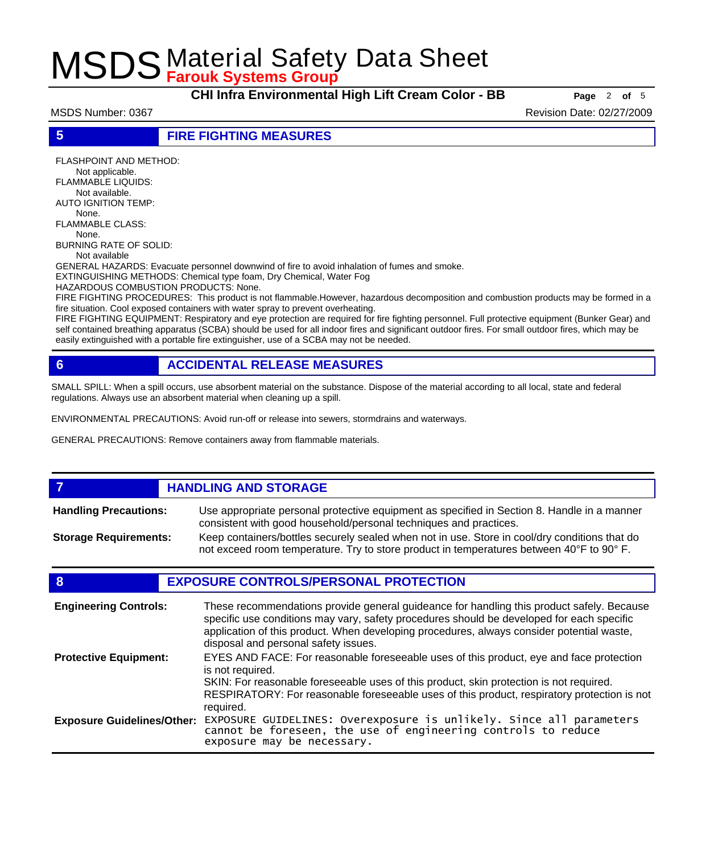**CHI Infra Environmental High Lift Cream Color - BB Page** <sup>2</sup> **of** <sup>5</sup>

MSDS Number: 0367 Revision Date: 02/27/2009

**5 FIRE FIGHTING MEASURES**

FLASHPOINT AND METHOD: Not applicable. FLAMMABLE LIQUIDS: Not available. AUTO IGNITION TEMP: None. FLAMMABLE CLASS: None. BURNING RATE OF SOLID: Not available GENERAL HAZARDS: Evacuate personnel downwind of fire to avoid inhalation of fumes and smoke.

EXTINGUISHING METHODS: Chemical type foam, Dry Chemical, Water Fog

HAZARDOUS COMBUSTION PRODUCTS: None.

FIRE FIGHTING PROCEDURES: This product is not flammable.However, hazardous decomposition and combustion products may be formed in a fire situation. Cool exposed containers with water spray to prevent overheating.

FIRE FIGHTING EQUIPMENT: Respiratory and eye protection are required for fire fighting personnel. Full protective equipment (Bunker Gear) and self contained breathing apparatus (SCBA) should be used for all indoor fires and significant outdoor fires. For small outdoor fires, which may be easily extinguished with a portable fire extinguisher, use of a SCBA may not be needed.

## **6 ACCIDENTAL RELEASE MEASURES**

SMALL SPILL: When a spill occurs, use absorbent material on the substance. Dispose of the material according to all local, state and federal regulations. Always use an absorbent material when cleaning up a spill.

ENVIRONMENTAL PRECAUTIONS: Avoid run-off or release into sewers, stormdrains and waterways.

GENERAL PRECAUTIONS: Remove containers away from flammable materials.

#### *HANDLING AND STORAGE* Use appropriate personal protective equipment as specified in Section 8. Handle in a manner consistent with good household/personal techniques and practices. **Handling Precautions:** Keep containers/bottles securely sealed when not in use. Store in cool/dry conditions that do not exceed room temperature. Try to store product in temperatures between 40°F to 90° F. **Storage Requirements:**

## **8 EXPOSURE CONTROLS/PERSONAL PROTECTION**

| <b>Engineering Controls:</b>      | These recommendations provide general guideance for handling this product safely. Because<br>specific use conditions may vary, safety procedures should be developed for each specific<br>application of this product. When developing procedures, always consider potential waste,<br>disposal and personal safety issues. |
|-----------------------------------|-----------------------------------------------------------------------------------------------------------------------------------------------------------------------------------------------------------------------------------------------------------------------------------------------------------------------------|
| <b>Protective Equipment:</b>      | EYES AND FACE: For reasonable foreseeable uses of this product, eye and face protection<br>is not required.<br>SKIN: For reasonable foreseeable uses of this product, skin protection is not required.<br>RESPIRATORY: For reasonable foreseeable uses of this product, respiratory protection is not<br>required.          |
| <b>Exposure Guidelines/Other:</b> | EXPOSURE GUIDELINES: Overexposure is unlikely. Since all parameters cannot be foreseen, the use of engineering controls to reduce<br>exposure may be necessary.                                                                                                                                                             |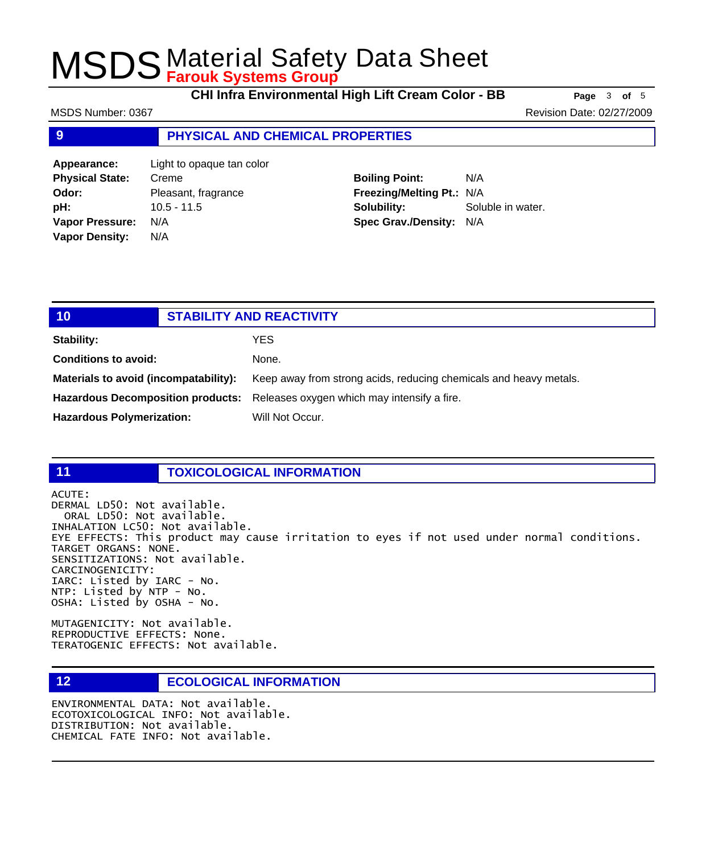**CHI Infra Environmental High Lift Cream Color - BB Page** <sup>3</sup> **of** <sup>5</sup>

MSDS Number: 0367 Revision Date: 02/27/2009

## **9 PHYSICAL AND CHEMICAL PROPERTIES**

| Appearance:            | Light to opaque tan color |
|------------------------|---------------------------|
| <b>Physical State:</b> | Creme                     |
| Odor:                  | Pleasant, fragrance       |
| pH:                    | $10.5 - 11.5$             |
| <b>Vapor Pressure:</b> | N/A                       |
| <b>Vapor Density:</b>  | N/A                       |
|                        |                           |

**Boiling Point:** N/A **Freezing/Melting Pt.:** N/A **Solubility:** Soluble in water. **Spec Grav./Density:** N/A

| 10                                    | <b>STABILITY AND REACTIVITY</b> |                                                                               |
|---------------------------------------|---------------------------------|-------------------------------------------------------------------------------|
| <b>Stability:</b>                     |                                 | YES.                                                                          |
| <b>Conditions to avoid:</b>           |                                 | None.                                                                         |
| Materials to avoid (incompatability): |                                 | Keep away from strong acids, reducing chemicals and heavy metals.             |
|                                       |                                 | Hazardous Decomposition products: Releases oxygen which may intensify a fire. |
| <b>Hazardous Polymerization:</b>      |                                 | Will Not Occur.                                                               |
|                                       |                                 |                                                                               |

### **11 TOXICOLOGICAL INFORMATION**

ACUTE:

DERMAL LD50: Not available. ORAL LD50: Not available. INHALATION LC50: Not available. EYE EFFECTS: This product may cause irritation to eyes if not used under normal conditions. TARGET ORGANS: NONE. SENSITIZATIONS: Not available. CARCINOGENICITY: IARC: Listed by IARC - No. NTP: Listed by NTP - No. OSHA: Listed by OSHA - No.

MUTAGENICITY: Not available. REPRODUCTIVE EFFECTS: None. TERATOGENIC EFFECTS: Not available.

## **12 ECOLOGICAL INFORMATION**

ENVIRONMENTAL DATA: Not available. ECOTOXICOLOGICAL INFO: Not available. DISTRIBUTION: Not available. CHEMICAL FATE INFO: Not available.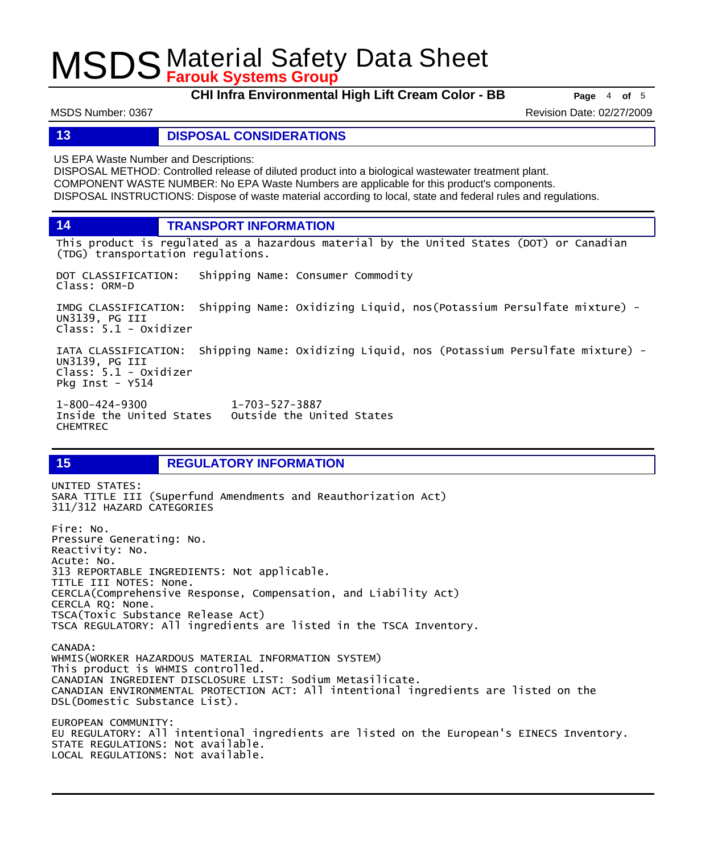**CHI Infra Environmental High Lift Cream Color - BB Page** <sup>4</sup> **of** <sup>5</sup>

MSDS Number: 0367 Revision Date: 02/27/2009

**13 DISPOSAL CONSIDERATIONS**

US EPA Waste Number and Descriptions:

DISPOSAL METHOD: Controlled release of diluted product into a biological wastewater treatment plant. COMPONENT WASTE NUMBER: No EPA Waste Numbers are applicable for this product's components. DISPOSAL INSTRUCTIONS: Dispose of waste material according to local, state and federal rules and regulations.

**14 TRANSPORT INFORMATION**

This product is regulated as a hazardous material by the United States (DOT) or Canadian (TDG) transportation regulations.

DOT CLASSIFICATION: Shipping Name: Consumer Commodity Class: ORM-D

IMDG CLASSIFICATION: Shipping Name: Oxidizing Liquid, nos(Potassium Persulfate mixture) - UN3139, PG III Class: 5.1 - Oxidizer

IATA CLASSIFICATION: Shipping Name: Oxidizing Liquid, nos (Potassium Persulfate mixture) - UN3139, PG III Class: 5.1 - Oxidizer Pkg Inst - Y514

1-800-424-9300 1-703-527-3887 Outside the United States CHEMTREC

## **15 REGULATORY INFORMATION**

UNITED STATES: SARA TITLE III (Superfund Amendments and Reauthorization Act) 311/312 HAZARD CATEGORIES Fire: No. Pressure Generating: No. Reactivity: No. Acute: No. 313 REPORTABLE INGREDIENTS: Not applicable. TITLE III NOTES: None. CERCLA(Comprehensive Response, Compensation, and Liability Act) CERCLA RQ: None. TSCA(Toxic Substance Release Act) TSCA REGULATORY: All ingredients are listed in the TSCA Inventory. CANADA: WHMIS(WORKER HAZARDOUS MATERIAL INFORMATION SYSTEM) This product is WHMIS controlled. CANADIAN INGREDIENT DISCLOSURE LIST: Sodium Metasilicate. CANADIAN ENVIRONMENTAL PROTECTION ACT: All intentional ingredients are listed on the DSL(Domestic Substance List). EUROPEAN COMMUNITY: EU REGULATORY: All intentional ingredients are listed on the European's EINECS Inventory. STATE REGULATIONS: Not available. LOCAL REGULATIONS: Not available.